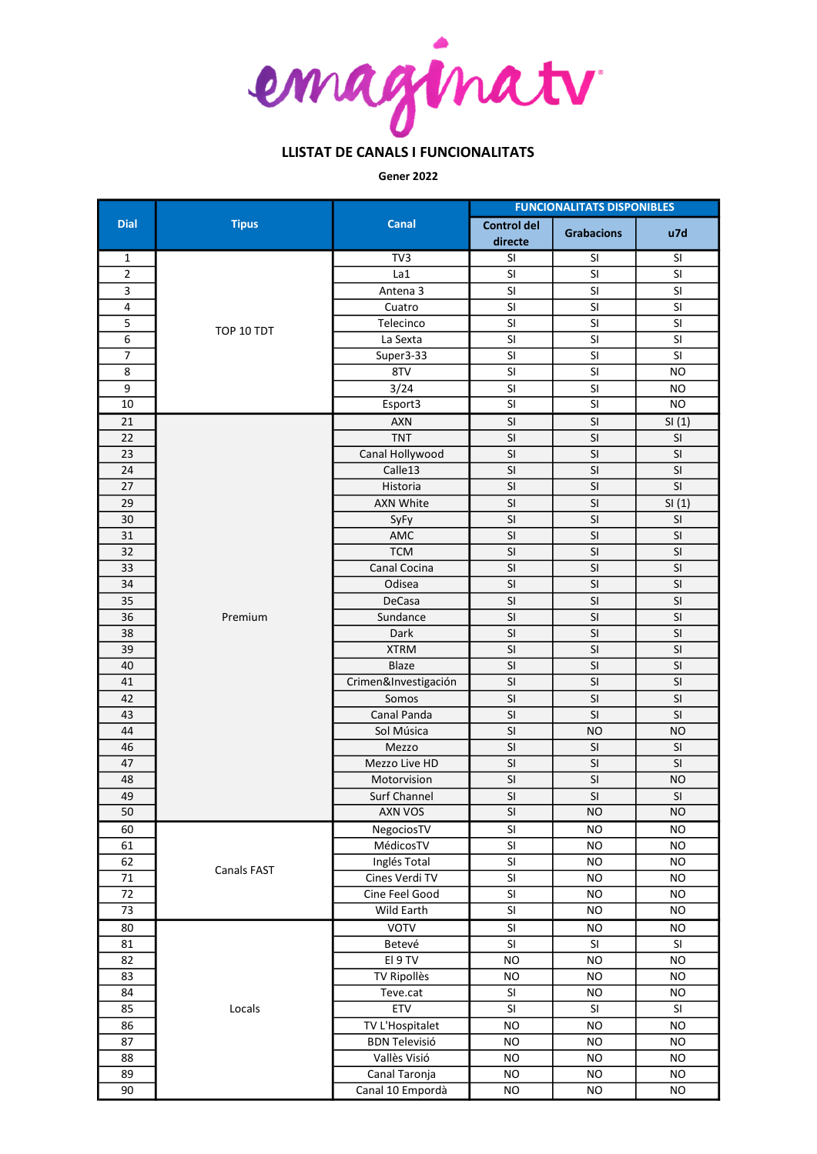

Gener 2022

|                 | <b>Tipus</b> | Canal                | <b>FUNCIONALITATS DISPONIBLES</b> |                          |                          |  |
|-----------------|--------------|----------------------|-----------------------------------|--------------------------|--------------------------|--|
| <b>Dial</b>     |              |                      | <b>Control del</b><br>directe     | <b>Grabacions</b>        | u7d                      |  |
| 1               | TOP 10 TDT   | TV3                  | SI                                | SI                       | SI                       |  |
| $\overline{2}$  |              | La1                  | SI                                | SI                       | SI                       |  |
| 3               |              | Antena 3             | SI                                | SI                       | SI                       |  |
| 4               |              | Cuatro               | SI                                | SI                       | SI                       |  |
| 5               |              | Telecinco            | SI                                | SI                       | SI                       |  |
| 6               |              | La Sexta             | SI                                | SI                       | SI                       |  |
| $\overline{7}$  |              | Super3-33            | SI                                | SI                       | SI                       |  |
| 8               |              | 8TV                  | SI                                | SI                       | <b>NO</b>                |  |
| 9               |              | 3/24                 | SI                                | SI                       | <b>NO</b>                |  |
| 10              |              | Esport3              | SI                                | SI                       | <b>NO</b>                |  |
| $\overline{21}$ |              | <b>AXN</b>           | $\overline{\mathsf{SI}}$          | $\overline{\mathsf{SI}}$ | SI(1)                    |  |
| 22              |              | <b>TNT</b>           | SI                                | SI                       | SI                       |  |
| 23              |              | Canal Hollywood      | SI                                | SI                       | SI                       |  |
| 24              |              | Calle13              | SI                                | SI                       | SI                       |  |
| 27              |              | Historia             | SI                                | SI                       | SI                       |  |
| 29              |              | <b>AXN White</b>     | SI                                | SI                       | SI(1)                    |  |
| 30              |              | SyFy                 | SI                                | SI                       | SI                       |  |
| 31              |              | AMC                  | $\overline{\mathsf{S}}$           | $\overline{\mathsf{S}}$  | SI                       |  |
| 32              |              | <b>TCM</b>           | SI                                | SI                       | SI                       |  |
| 33              |              | Canal Cocina         | SI                                | SI                       | SI                       |  |
| 34              |              | Odisea               | $\overline{\mathsf{SI}}$          | $\overline{\mathsf{SI}}$ | $\overline{\mathsf{SI}}$ |  |
| 35              |              | DeCasa               | SI                                | SI                       | SI                       |  |
| $\overline{36}$ | Premium      | Sundance             | $\overline{\mathsf{SI}}$          | $\overline{\mathsf{SI}}$ | SI                       |  |
| $\overline{38}$ |              | Dark                 | $\overline{\mathsf{SI}}$          | $\overline{\mathsf{SI}}$ | $\overline{\mathsf{SI}}$ |  |
| 39              |              | <b>XTRM</b>          | $\overline{\mathsf{S}}$           | SI                       | SI                       |  |
| 40              |              | Blaze                | SI                                | SI                       | SI                       |  |
| 41              |              | Crimen&Investigación | SI                                | SI                       | SI                       |  |
| 42              |              | Somos                | SI                                | SI                       | SI                       |  |
| 43              |              | Canal Panda          | SI                                | SI                       | SI                       |  |
| 44              |              | Sol Música           | SI                                | <b>NO</b>                | <b>NO</b>                |  |
| 46              |              | Mezzo                | $\overline{\mathsf{S}}$           | SI                       | SI                       |  |
| 47              |              | Mezzo Live HD        | SI                                | SI                       | SI                       |  |
| 48              |              | Motorvision          | SI                                | SI                       | <b>NO</b>                |  |
| 49              |              | Surf Channel         | $\overline{\mathsf{SI}}$          | $\overline{\mathsf{SI}}$ | SI                       |  |
| 50              |              | AXN VOS              | $\overline{\mathsf{S}}$           | <b>NO</b>                | <b>NO</b>                |  |
| 60              |              | NegociosTV           | SI                                | NO                       | NO                       |  |
| 61              |              | MédicosTV            | SI                                | <b>NO</b>                | <b>NO</b>                |  |
| 62              | Canals FAST  | Inglés Total         | SI                                | <b>NO</b>                | <b>NO</b>                |  |
| $71\,$          |              | Cines Verdi TV       | SI                                | <b>NO</b>                | <b>NO</b>                |  |
| 72              |              | Cine Feel Good       | SI                                | <b>NO</b>                | <b>NO</b>                |  |
| 73              |              | Wild Earth           | SI                                | <b>NO</b>                | <b>NO</b>                |  |
| 80              |              | <b>VOTV</b>          | SI                                | <b>NO</b>                | <b>NO</b>                |  |
| 81              |              | Betevé               | SI                                | SI                       | SI                       |  |
| 82              |              | EI 9 TV              | <b>NO</b>                         | <b>NO</b>                | <b>NO</b>                |  |
| 83              | Locals       | <b>TV Ripollès</b>   | <b>NO</b>                         | <b>NO</b>                | <b>NO</b>                |  |
| 84              |              | Teve.cat             | $\mathsf{SI}$                     | <b>NO</b>                | <b>NO</b>                |  |
| 85              |              | ETV                  | $\mathsf{SI}\xspace$              | $\mathsf{SI}$            | $\mathsf{SI}$            |  |
| 86              |              | TV L'Hospitalet      | <b>NO</b>                         | <b>NO</b>                | <b>NO</b>                |  |
| 87              |              | <b>BDN Televisió</b> | <b>NO</b>                         | <b>NO</b>                | <b>NO</b>                |  |
| 88              |              | Vallès Visió         | <b>NO</b>                         | <b>NO</b>                | <b>NO</b>                |  |
| 89              |              | Canal Taronja        | <b>NO</b>                         | <b>NO</b>                | <b>NO</b>                |  |
| 90              |              | Canal 10 Empordà     | <b>NO</b>                         | <b>NO</b>                | <b>NO</b>                |  |